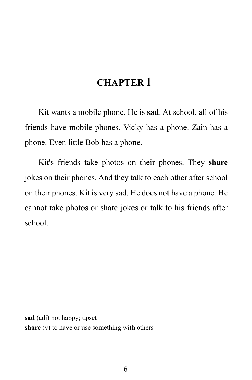# **CHAPTER 1**

Kit wants a mobile phone. He is **sad**. At school, all of his friends have mobile phones. Vicky has a phone. Zain has a phone. Even little Bob has a phone.

Kit's friends take photos on their phones. They **share** jokes on their phones. And they talk to each other after school on their phones. Kit is very sad. He does not have a phone. He cannot take photos or share jokes or talk to his friends after school.

**sad** (adj) not happy; upset **share** (v) to have or use something with others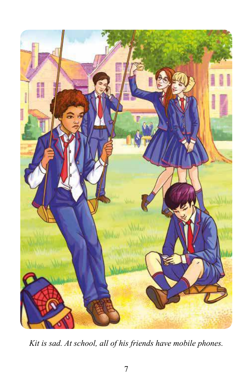

*Kit is sad. At school, all of his friends have mobile phones.*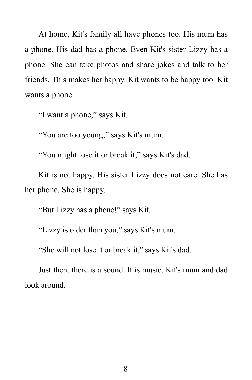At home, Kit's family all have phones too. His mum has a phone. His dad has a phone. Even Kit's sister Lizzy has a phone. She can take photos and share jokes and talk to her friends. This makes her happy. Kit wants to be happy too. Kit wants a phone.

"I want a phone," says Kit.

"You are too young," says Kit's mum.

"You might lose it or break it," says Kit's dad.

Kit is not happy. His sister Lizzy does not care. She has her phone. She is happy.

"But Lizzy has a phone!" says Kit.

"Lizzy is older than you," says Kit's mum.

"She will not lose it or break it," says Kit's dad.

Just then, there is a sound. It is music. Kit's mum and dad look around.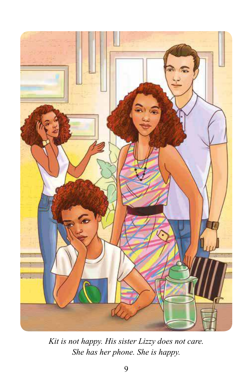

*Kit is not happy. His sister Lizzy does not care. She has her phone. She is happy.*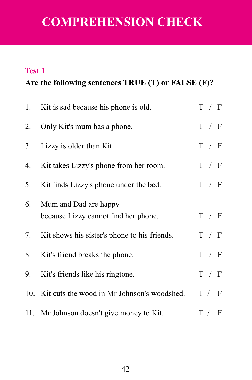# **COMPREHENSION CHECK**

#### **Test 1**

## **Are the following sentences TRUE (T) or FALSE (F)?**

| 1. | Kit is sad because his phone is old.                          | T / F |
|----|---------------------------------------------------------------|-------|
|    | 2. Only Kit's mum has a phone.                                | T / F |
| 3. | Lizzy is older than Kit.                                      | T / F |
| 4. | Kit takes Lizzy's phone from her room.                        | T / F |
| 5. | Kit finds Lizzy's phone under the bed.                        | T / F |
| 6. | Mum and Dad are happy<br>because Lizzy cannot find her phone. | T / F |
| 7. | Kit shows his sister's phone to his friends.                  | T / F |
| 8. | Kit's friend breaks the phone.                                | T / F |
|    | 9. Kit's friends like his ringtone.                           | T / F |
|    | 10. Kit cuts the wood in Mr Johnson's woodshed.               | T / F |
|    | 11. Mr Johnson doesn't give money to Kit.                     | T / F |